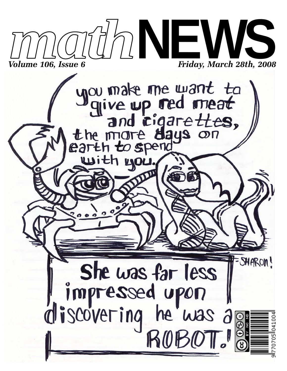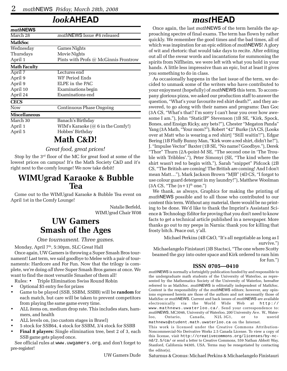#### *look***AHEAD**

| mathNEWS             |                                          |
|----------------------|------------------------------------------|
| March 28             | mathNEWS Issue #6 released               |
| <b>MathSoc</b>       |                                          |
| Wednesday            | <b>Games Nights</b>                      |
| Thursdays            | Movie Nights                             |
| April 1              | Pints with Profs @ McGinnis Frontrow     |
| <b>Math Faculty</b>  |                                          |
| April 7              | Lectures end                             |
| April 9              | WF Period Ends                           |
| April 9              | ELPE in the PAC                          |
| April 10             | Examinations begin                       |
| April 24             | Examinations end                         |
| <b>CECS</b>          |                                          |
| <b>Now</b>           | <b>Continuous Phase Ongoing</b>          |
| <b>Miscellaneous</b> |                                          |
| March 30             | Banach's Birthday                        |
| April 1              | WIM's Karaoke $(\omega 6$ in the Comfy!) |
| April 5              | Hobbes' Birthday                         |
|                      | $M_0$ ik $\Gamma$ o Di                   |

#### **Math C&D!**

*Great food, great prices!*

Stop by the 3<sup>rd</sup> floor of the MC for great food at some of the lowest prices on campus! It's the Math Society C&D and it's right next to the comfy lounge! We now take debit!

#### **WIMUgrad Karaoke & Bubble Tea**

Come out to the WIMUgrad Karaoke & Bubble Tea event on April 1st in the Comfy Lounge!

> Natalie Berfeld, WIMUgrad Chair W08

#### **UW Gamers Smash of the Ages**

#### *One tournament. Three games.*

Monday, April 7<sup>th</sup>, 5:30pm, SLC Great Hall

Once again, UW Gamers is throwing a Super Smash Bros tournament! Last term, we said goodbye to Melee with a pair of tournaments: Hardcore and For Fun. Now that the trilogy is complete, we're doing *all three* Super Smash Bros games at once. We want to find the most versatile Smasher of them all!

Rules: • Triple Elimination Swiss Round Robin

- Optional \$5 entry fee for prizes
- Game to be played (SSB, SSBM, SSBB) will be **random** for each match, but care will be taken to prevent competitors from playing the same game every time.
- ALL items on, medium drop rate. This includes stars, hammers, and health
- ALL levels on, (no custom stages in Brawl)
- 5 stock for SSB64, 4 stock for SSBM, 3/4 stock for SSBB
- **Final 8 players:** Single elimination tree, best 2 of 3, each SSB game gets played once.

See official rules at www.uwgamers.org, and don't forget to pre-register!

UW Gamers Dude

### *mast***HEAD**

Once again, the last *math*NEWS of the term heralds the approaching spectre of final exams. The term has flown by rather quickly. We remember the good times and the bad times, all of which was inspiration for an epic edition of *math*NEWS! A glory of wit and rhetoric that would take days to recite. After editing out all of the swear words and incantations for summoning the spirits from Niflheim, we were left with what you hold in your hands. A little less impressive than an epic, but at least it gives you something to do in class.

As occasionally happens in the last issue of the term, we decided to unmask some of the writers who have contributed to your enjoyment (hopefully) of *math*NEWS this term. To accompany glorious pizza, we asked our production staff to answer the question, "What's your favourite red shirt death?", and they answered, to go along with their names and programs: Dan Goc (3A CS, "What's that? I'm sorry I can't hear you over how awesome I am."), John "StaticIP" Stevenson (1B SE, "Kirk, Spock, Bones, and Ensign Ricky, any bets?"), Chester "Megaton Panda" Yang (3A Math, "Your mom?"), Robert "42" Burke (3A CS, [Looks over at Matt who is wearing a red shirt] "Still waitin'!"), Edgar Bering (1B Fluffy Bunny Man, "Kirk wore a red shirt, didn't he?"), J. "Impulse Vector" Baxter (1B SE, "No name? Goodbye."), Derek "Thor" Thurn (2A-point-M SE, "The second one in 'The Trouble with Tribbles'."), Peter Simonyi (SE, "The kind where the shirt wasn't red to begin with."), Sarah "snippet" Pidcock (2B CS, "The British are coming! The British are coming! And I don't mean Matt…"), Mark Jackson Brown "MJB" (4D CS, "I forgot to use colour guard detergent in my laundry!"), Matthew Woolman  $(3A CS, "The (n+1)<sup>th</sup> one.")$ 

We thank, as always, Graphics for making the printing of *math*NEWS possible and to all those who contributed to our content this term. Without any material, there would be no printing to be done. We'd like to thank the Imprint's Assistant Science & Technology Editor for proving that you don't need to know facts to get a technical article published in a newspaper. More thanks go out to my peeps in Narnia: thank you for killing that frosty bitch. Peace out, y'all.

Michael Perkins (4B C&O, "It's all negotiable as long as I survive.")

Michaelangelo Finistauri (3B Stactsci, "The one where Scotty beamed the guy into outer space and Kirk ordered to ram him for fun.")

#### **ISSN 0705—0410**

*math*NEWS is normally a fortnightly publication funded by and responsible to the undergraduate math students of the University of Waterloo, as represented by the Mathematics Society of the University of Waterloo, hereafter referred to as MathSoc. *math*NEWS is editorially independent of MathSoc. Content is the responsibility of the *math*NEWS editors; however, any opinions expressed herein are those of the authors and not necessarily those of MathSoc or *math*NEWS. Current and back issues of *math*NEWS are available electronically via the World Wide Web at http:// www.mathnews.uwaterloo.ca/. Send your correspondence to: *math*NEWS, MC3046, University of Waterloo, 200 University Ave. W., Waterloo, Ontario, Canada, N2L 3G1, or to userid mathnews@student.math.uwaterloo.ca on the Internet.

This work is licensed under the Creative Commons Attribution-Noncommercial-No Derivative Works 2.5 Canada License. To view a copy of this license, visit http://creativecommons.org/licenses/by-ncnd/2.5/ca/ or send a letter to Creative Commons, 559 Nathan Abbott Way, Stanford, California 94305, USA. Terms may be renegotiated by contacting the editor(s).

Saturnus & Cronus: Michael Perkins & Michaelangelo Finistauri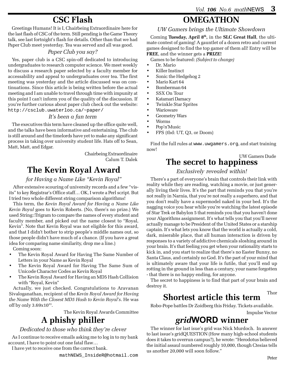# **CSC Flash**

Greetings Humans! It is I, Chairbeing Extraordinaire here for the last flash of CSC of the term. Still pending is the Game Theory talk, see last fortnight's flash for details. Other than that we had Paper Club meet yesterday. Tea was served and all was good.

#### *Paper Club you say?*

Yes, paper club is a CSC spin-off dedicated to introducing undergraduates to research computer science. We meet weekly to discuss a research paper selected by a faculty member for accessability and appeal to undergraduates over tea. The first meeting was yesterday and the article discussed was on continuations. Since this article is being written before the actual meeting and I am unable to travel through time with impunity at this point I can't inform you of the quality of the discussion. If you're further curious about paper club check out the website: http://csclub.uwaterloo.ca/~paper/

#### *It's been a fun term*

The executives this term have cleaned up the office quite well, and the talks have been informative and entertaining. The club is still around and the timelords have yet to make any significant process in taking over university student life. Hats off to Sean, Matt, Matt, and Edgar.

> Chairbeing Extraordinaire Calum T. Dalek

# **The Kevin Royal Award**

#### *for Having a Name Like "Kevin Royal"*

After extensive scouring of university records and a few "visits" to key Registrar's Office staff… OK, I wrote a Perl script. But I tried two whole different string comparison algorithms!

This term, the *Kevin Royal Award for Having a Name Like Kevin Royal* goes to Kevin Roberts. (No, there's no prize.) We used String::Trigram to compare the names of every student and faculty member, and picked out the name closest to "Royal, Kevin". Note that Kevin Royal was not eligible for this award, and that I didn't bother to strip people's middle names out, so those people didn't have much of a chance. (If you have a great idea for comparing name similarity, drop me a line.)

Coming soon:

- The Kevin Royal Award for Having The Same Number of Letters in your Name as Kevin Royal
- The Kevin Royal Award for Having The Same Sum of Unicode Character Codes as Kevin Royal
- The Kevin Royal Award for Having an MD5 Hash Collision with "Royal, Kevin"

Actually, we just checked. Congratulations to Aravanan Sivaloganathan, recipient of the *Kevin Royal Award for Having the Name With the Closest MD5 Hash to Kevin Royal's*. He was off by only  $3.69x10^{33}$ .

The Kevin Royal Awards Committee

# **A phishy philler**

#### *Dedicated to those who think they're clever*

As I continue to receive emails asking me to log in to my bank account, I have to point out one fatal flaw…

I have yet to receive one from the correct bank.

#### **OMEGATHON**

*UW Gamers brings the Ultimate Showdown*

Coming **Tuesday, April 8th,** in the **SLC Great Hall**, the ultimate contest of gaming! A gauntlet of a dozen retro and current games designed to find the top gamer of them all! Entry will be **FREE**, and the winner gets a **PRIZE!**

Games to be featured: *(Subject to change)*

- Dr. Mario
- Killer Instinct
- Sonic the Hedgehog 2
- Mario Kart 64
- Bomberman 64
- SSX On Tour
- Katamari Damacy
- Twinkle Star Sprites
- Warioware
- Geometry Wars
- Worms
- Pop'n'Music
- FPS (tbd: UT, Q3, or Doom)

Find the full rules at www.uwgamers.org, and start training now!

UW Gamers Dude

### **The secret to happiness**

#### *Exclusively revealed within!*

There's a part of everyone's brain that controls their link with reality while they are reading, watching a movie, or just generally living their lives. It's the part that reminds you that you're not really in Narnia, that you're not really a superhero, and that you don't really have a supermodel naked in your bed. It's the nagging voice you hear while you're watching the latest episode of Star Trek or Babylon 5 that reminds you that you haven't done your Algorithms assignment. It's what tells you that you'll never actually manage to be President of the United States or a starship captain. It's what lets you know that the world is actually a cold, dark, miserable place, that all human interaction is driven by responses to a variety of addictive chemicals sloshing around in your brain. It's that feeling you get when your rationality starts to kick in, and you start to realize that there's no Easter Bunny, no Santa Claus, and certainly no God. It's the part of your mind that is ultimately aware that your life is futile, that you'll end up rotting in the ground in less than a century, your name forgotten - that there is no happy ending, for anyone.

The secret to happiness is to find that part of your brain and destroy it.

Thor

### **Shortest article this term**

Robo-Pope battles Dr Zoidberg this Friday. Tickets available.

Impulse Vector

# *grid***WORD winner**

The winner for last isue's grid was Nick Murdoch. In answer to last issue's gridQUESTION (How many high-school students does it takes to overrun campus?), he wrote: "Herodotus believed the initial assaul numbered roughly 10,000, though Ctesias tells us another 20,000 will soon follow."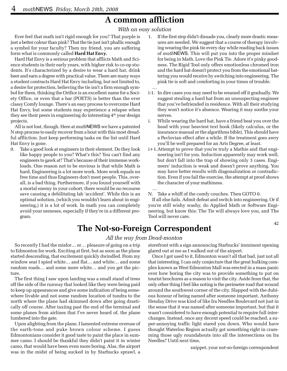### **A common affliction**

*With an easy solution*

Ever feel that math isn't rigid enough for you? That purple is just a better colour than pink? That the tie just isn't phallic enough a symbol for your faculty? Then my friend, you are suffering form what is commonly called **Hard Hat Envy.**

Hard Hat Envy is a serious problem that afflicts Math and Science students in their early years, with higher risk to co-op students. It's characterized by a desire to wear a hard hat, drink beer and earn a degree with practical value. There are many ways a student contracts Hard Hat Envy including, but not limited to, a desire for protection, believing the tie isn't a firm enough symbol for them, thinking the Orifice is an excellent name for a Society Office, or even that a bar (POETS) is better than the ever classy Comfy lounge. There's an easy process to overcome Hard Hat Envy, but some students may experience a relapse when they see their peers in engineering do interesting  $4<sup>th</sup>$  year design projects.

All is not lost, though. Here at *math*NEWS we have a patented N step process to easily recover from a bout with this most dreadful affliction. Just keep performing tasks on the list until Hard Hat Envy is gone.

0. Take a good look at engineers in their element. Do they look like happy people to you? What's this? You can't find any engineers to gawk at? That's because of their immense workloads. One reason not to be envious is that while Math is hard, Engineering is a lot more work. More work equals no free time and thus Engineers don't meet people. This, overall, is a bad thing. Furthermore, if you found yourself with a mortal enemy in your cohort, there would be no recourse save causing a debilitating lab 'accident'. While this is an optimal solution, (which you wouldn't learn about in engineering,) it is a lot of work. In math you can completely avoid your nemeses, especially if they're in a different program.

- 1. If the first step didn't disuade you, clearly more drastic measures are needed. We suggest that a course of therapy involving wearing the pink tie every day while reading back issues of *math*NEWS. This will put you into the proper mindset for being in Math. Love the Pink Tie. Adore it's pinky goodness. The Rigid Tool only offers emotionless chromed iron and the hard hat doesn't protect you from the emotional battering you would receive by switching into engineering. The pink tie is soft and comforting in your times of trouble. …
- i-1. In dire cases you may need to be weaned off it gradually. We suggest stealing a hard hat from an unsuspecting engineer that you've befriended in residence. With all their studying they won't notice it's absence. Wearing it may soothe your nerves.
- i. While wearing the hard hat, have a friend beat you over the head with your heaviest text book (likely calculus, or the insurance manual or the algorithms bible). This should have a Pavlovian effect after a while. If the treatment goes awry you'll be well prepared for an Arts Degree, at least.
- i+1.Attempt to prove that you're truly a Mathie and that engineering isn't for you. Induction apparently may work well, but don't fall into the trap of showing only 3 cases. Engineers' induction is weak and doesn't prove anything. You may have better results with diagonalization or contradiction. Even if you fail the exercise, the attempt at proof shows the character of your mathiness.

N. Take a whiff of the comfy couches. Then GOTO 0.

If all else fails. Admit defeat and switch into engineering. Or if you're still wishy washy, do Applied Math or Software Engineering, but know this: The Tie will always love you, and The Tool will never care.

# **The Not-so-Foreign Correspondent**

…

#### *All the way from Dead-monton*

So recently I had the misfor… er… pleasure of going on a trip to Edmonton for work. Exciting at first, but as soon as the plane started descending, that excitement quickly dwindled. From my window seat I spied white… and flat… and white… and some random roads… and some more white… and you get the picture.

The first thing I saw upon landing was a small stand of trees off the side of the runway that looked like they were being paid to keep up appearances and give some indication of being somewhere livable and not some random location of tundra to the north where the plane had skimmed down after going drastically off course. After taxiing past the end of the terminal and some planes from airlines that I've never heard of, the plane lumbered into the gate.

Upon alighting from the plane, I lamented extreme overuse of the earth-tone and puke brown colour scheme. I guess Edmontonians consider it good taste to paint the place in summer camo. I should be thankful they didn't paint it in winter camo, that would have been even more boring. Alas, the airport was in the midst of being sucked in by Starbucks sprawl, a

storefront with a sign announcing Starbucks' imminent opening glared out at me as I walked out of the airport.

Once I got used to it, Edmonton wasn't all that bad, just not all that interesting. I can only conjecture that the great hulking complex known as West Edmonton Mall was erected in a mass panic over how boring the city was to provide something to put on tourist brochures as a reason to visit the city. Aside from that, the only other thing I feel like noting is the perimeter road that wound around the southwest corner of the city. Slapped with the dubious honour of being named after someone important, Anthony Henday Drive was kind of like Ira Needles Boulevard not just in the sense that it was named after someone important, but that it wasn't considered to have enough potential to require full interchanges. Instead, once any decent speed could be reached, a super-annoying traffic light stared you down. Who would have thought Waterloo Region actually got something right in cramming those ugly roundabouts into all the intersections on Ira Needles? Until next time,

snippet, your not-so-foreign correspondent

42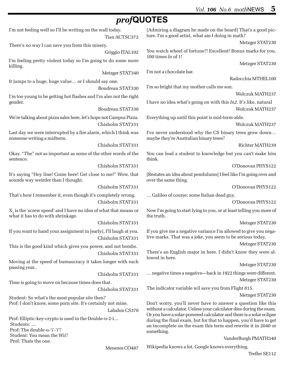Trefler SE112

### *prof***QUOTES**

| I'm not feeling well so I'll be writing on the wall today.<br>Tian ACTSC372                             | [Admiring a diagram he made on the board] That's a good pic-<br>ture. I'm a good artist, what am I doing in math?                                                                                                      |
|---------------------------------------------------------------------------------------------------------|------------------------------------------------------------------------------------------------------------------------------------------------------------------------------------------------------------------------|
| There's no way I can save you from this misery.                                                         | Metzger STAT230                                                                                                                                                                                                        |
| Griggio ITAL102                                                                                         | You watch wheel of fortune?! Excellent! Bonus marks for you,<br>100 times $ln$ of 1!                                                                                                                                   |
| I'm feeling pretty violent today so I'm going to do some more<br>killing.                               | Metzger STAT230                                                                                                                                                                                                        |
| Metzger STAT340                                                                                         | I'm not a chocolate bar.                                                                                                                                                                                               |
| It jumps to a huge, huge value or I should say one.                                                     | Radocchia MTHEL100                                                                                                                                                                                                     |
| Boudreau STAT330                                                                                        | I'm so bright that my mother calls me son.                                                                                                                                                                             |
| I'm too young to be getting hot flashes and I'm also not the right                                      | Wolczuk MATH237                                                                                                                                                                                                        |
| gender.<br>Boudreau STAT330                                                                             | I have no idea what's going on with this ln2. It's like, natural<br>Wolczuk MATH237                                                                                                                                    |
| We're talking about pizza sales here, let's hope not Campus Pizza.                                      | Everything up until this point is mid-term-able.                                                                                                                                                                       |
| Chisholm STAT331                                                                                        | Wolczuk MATH237                                                                                                                                                                                                        |
| Last day we were interrupted by a fire alarm, which I think was<br>someone writing a midterm.           | I've never understood why the CS binary trees grow down<br>maybe they're Australian binary trees?                                                                                                                      |
| Chisholm STAT331                                                                                        | Richter MATH239                                                                                                                                                                                                        |
| Okay. "The" not as important as some of the other words of the<br>sentence.                             | You can lead a student to knowledge but you can't make him<br>think.                                                                                                                                                   |
| Chisholm STAT331                                                                                        | O'Donovan PHYS122                                                                                                                                                                                                      |
| It's saying "Hey line! Come here! Get close to me!" Wow, that<br>sounds way weirder than I thought.     | [Restates an idea about pendulums] I feel like I'm going over and<br>over the same thing.                                                                                                                              |
| Chisholm STAT331                                                                                        | O'Donovan PHYS122                                                                                                                                                                                                      |
| That's how I remember it, even though it's completely wrong.                                            | Galileo of course: some Italian dead guy.                                                                                                                                                                              |
| Chisholm STAT331                                                                                        | O'Donovan PHYS122                                                                                                                                                                                                      |
| $Xa$ is the 'screw speed' and I have no idea of what that means or<br>what it has to do with shrinkage. | Now I'm going to start lying to you, or at least telling you more of<br>the truth.                                                                                                                                     |
| Chisholm STAT331                                                                                        | Metzger STAT230                                                                                                                                                                                                        |
| If you want to hand your assignment in [early], I'll laugh at you.<br>Chisholm STAT331                  | If you give me a negative variance I'm allowed to give you nega-<br>tive marks. That was a joke, you seem to be serious today.                                                                                         |
| This is the good kind which gives you power, and not bombs.                                             | Metzger STAT230                                                                                                                                                                                                        |
| Chisholm STAT331                                                                                        | There's an English major in here. I didn't know they were al-<br>lowed in here.                                                                                                                                        |
| Moving at the speed of bureaucracy it takes longer with each                                            | Metzger STAT230                                                                                                                                                                                                        |
| passing year<br>Chisholm STAT331                                                                        | negative times a negative—back in 1922 things were different.                                                                                                                                                          |
| Time is going to move on because times does that.                                                       | Metzger STAT230                                                                                                                                                                                                        |
| Chisholm STAT331                                                                                        | The indicator variable wil save you from Flight 815.                                                                                                                                                                   |
| Student: So what's the most popular site then?                                                          | Metzger STAT230                                                                                                                                                                                                        |
| Prof: I don't know, some porn site. It's certainly not mine.<br>Labahm CS370                            | Don't worry, you'll never have to answer a question like this<br>without a calculator. Unless your calculator dies during the exam.                                                                                    |
| Prof: Elliptic-key-crypto is used in the Double-u-2-i<br>Students:<br>Prof: The double-u-'i'-'i'?       | Or you have a solar-powered calculator and there is a solar eclipse<br>during the final exam, but for that to happen, you'd have to get<br>an incomplete on the exam this term and rewrite it in 2040 or<br>something. |
| Student: You mean the Wii?                                                                              | VanderBurgh PMATH340                                                                                                                                                                                                   |
| Prof: Thats the one.                                                                                    | Wikipedia knows a lot, Google knows everything.                                                                                                                                                                        |
| Menezes CO487                                                                                           |                                                                                                                                                                                                                        |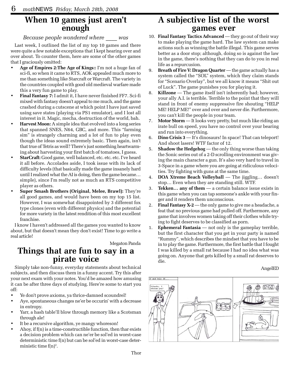# **When 10 games just aren't enough**

#### *Because people wondered where \_\_\_\_ was*

Last week, I outlined the list of my top 10 games and there were quite a few notable exceptions that I kept hearing over and over about. To counter them, here are some of the other games that I graciously omitted:

- **Age of Empires 2:The Age of Kings::** I'm not a huge fan of sci-fi, so when it came to RTS, AOK appealed much more to me than something like Starcraft or Warcraft. The variety in the countries coupled with good old medieval warfare made this a very fun game to play.
- **Final Fantasy 7:** I admit it, I have never finished FF7. Sci-fi mixed with fantasy doesn't appeal to me much, and the game crashed during a cutscene at which point I have just saved using save states (playing via PS1 emulator), and I lost all interest in it. Magic, mecha, destruction of the world, bah.
- **Harvest Moon:** A simple idea that evolved into a long series that spanned SNES, N64, GBC, and more. This "farming sim" is strangely charming and a lot of fun to play even though the ideas sound extremely basic. Then again, isn't that true of Tetris as well? There's just something heartwarming about harvesting your first batch of tomatoes, I guess.
- **StarCraft:** Good game, well balanced, etc. etc. etc. I've heard it all before. Accolades aside, I took issue with its lack of difficulty levels (that basically made the game insanely hard until I realized what the AI is doing, then the game became… simple), since I'm really not as much an RTS competitive player as others.
- **Super Smash Brothers (Original, Melee, Brawl):** They're all good games, and would have been on my top 15 list. However, I was somewhat disappointed by 3 different fox type clones (even with different physics) and the potential for more variety in the latest rendition of this most excellent franchise.

I know I haven't addressed all the games you wanted to know about, but that doesn't mean they don't exist! Time to go write a real article!

Megaton Panda

### **Things that are fun to say in a pirate voice**

Simply take non-funny, everyday statements about technical subjects, and then discuss them in a funny accent. Try this after your next exam with your notes. You'd be amazed how amusing it can be after three days of studying. Here're some to start you off:

- Ye don't prove axioms, ya thrice-damned scoundrel!
- Aye, spontaneous changes ne'er be occurin' with a decrease in entropy.
- Yarr, a hash table'll blow through memory like a Scotsman through ale!
- It be a recursive algorithm, ye mangy whoreson!
- Ahoy, if f(n) is a time-constructible function, then thar exists a decision problem which can ne'er be sol'ed in worst-case deterministic time f(n) but can be sol'ed in worst-case deterministic time  $f(n)^2$ .

### **A subjective list of the worst games ever**

- 10. **Final Fantasy Tactics Advanced** they go out of their way to make playing the game hard. The law system can make actions such as winning the battle illegal. This game serves better as a door stop; although, doing so is against the law in the game, there's nothing that they can do to you in real life as a repurcusion.
- 9. **Breath of Fire V: Dragon Quarter** the game actually has a system called the "SOL" system, which they claim stands for "Scenario Overlay", but we all know it means "Shit out of Luck". The game punishes you for playing it.
- **Killzone** The game itself isn't inherently bad; however, your ally A.I. is terrible. Terrible to the point that they will stand in front of enemy suppressive fire shouting "HELP ME! HELP ME!" over and over and never die. Furthermore, you can't kill the people in your team.
- 7. **Motor Storm** It looks very pretty, but much like riding an irate bull on speed, you have no control over your bearing and run into everything.
- 6. **Dino Crisis 3** It's dinosaurs! In space! That can teleport! And shoot lasers! WTF factor of 12.
- 5. **Shadow the Hedgehog** the only thing worse than taking the Sonic series out of a 2-D scrolling environment was giving the main character a gun. It's also very hard to travel in 3-Space in a game where you are going at ridiculous velocities. Try fighting with guns at the same time.
- 4. **DOA Xtreme Beach Volleyball** The jiggling… doesn't stop… Even when they are standing still. WTF.
- 3. **Tekken… any of them** a certain balance issue exists in this game when you can tap someone's ankle with your finger and it renders them unconscious.
- 2. **Final Fantasy X-2** the only game to give me a headache, a feat that no previous game had pulled off. Furthermore, any game that involves women taking off their clothes while trying to fight deserves to be classified as porn.
- 1. **Ephemeral Fantasia** not only is the gameplay terrible, but the first character that you get in your party is named "Rummy", which describes the mindset that you have to be in to play the game. Furthermore, the first battle that I fought I was killed by a small rat because I had no idea what was going on. Anyone that gets killed by a small rat deserves to die.

#### AngelED

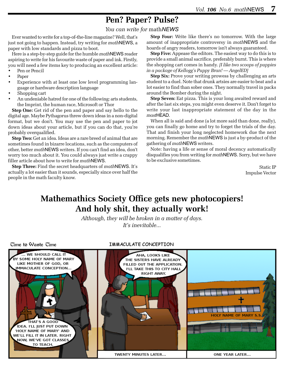# **Pen? Paper? Pulse?**

*You can write for* math*NEWS*

Ever wanted to write for a top-of-the-line magazine? Well, that's just not going to happen. Instead, try writing for *math*NEWS, a paper with low standards and pizza to boot.

Here is a step-by-step guide for the humble *math*NEWS reader aspiring to write for his favourite waste of paper and ink. Firstly, you will need a few items key to producing an excellent article:

- Pen or Pencil
- Paper
- Experience with at least one low level programming language or hardware description language
- Shopping cart
- An undeniable hatred for one of the following: arts students, the Imprint, the human race, Microsoft or Thor

**Step One:** Get rid of the pen and paper and say hello to the digital age. Maybe Pythagorus threw down ideas in a non-digital format, but we don't. You may use the pen and paper to jot down ideas about your article, but if you can do that, you're probably overqualified.

**Step Two:** Get an idea. Ideas are a rare breed of animal that are sometimes found in bizarre locations, such as the computers of other, better *math*NEWS writers. If you can't find an idea, don't worry too much about it. You could always just write a crappy filler article about how to write for *math*NEWS.

**Step Three:** Find the secret headquarters of *math*NEWS. It's actually a lot easier than it sounds, especially since over half the people in the math faculty know.

**Step Four:** Write like there's no tomorrow. With the large amount of inappropriate controversy in *math*NEWS and the hoards of angry readers, tomorrow isn't always guaranteed.

**Step Five:** Appease the editors. The easiest way to do this is to provide a small animal sacrifice, preferably burnt. This is where the shopping cart comes in handy. *[I like two scoops of puppies in a package of Kellogg's Puppy Bran! — AngelED]*

**Step Six:** Prove your writing prowess by challenging an arts student to a duel. Note that drunk artsies are easier to beat and a lot easier to find than sober ones. They normally travel in packs around the Bomber during the night.

**Step Seven:** Eat pizza. This is your long awaited reward and after the last six steps, you might even deserve it. Don't forget to write your last inappropriate statement of the day in the *mast*HEAD.

When all is said and done (a lot more said than done, really), you can finally go home and try to forget the trials of the day. That and finish your long neglected homework due the next morning. Remember the *math*NEWS is just a by-product of the gathering of *math*NEWS writers.

Note: having a life or sense of moral decency automatically disqualifies you from writing for *math*NEWS. Sorry, but we have to be exclusive sometimes.

> Static IP Impulse Vector

### **Mathemathics Society Office gets new photocopiers! And holy shit, they actually work!**

*Although, they will be broken in a matter of days. It's inevitable...*

#### Cime to Waste Cime

#### IMMACULATE CONCEPTION